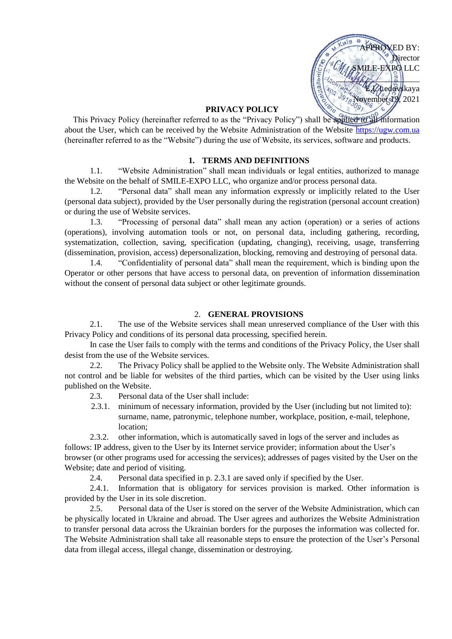

### **PRIVACY POLICY**

This Privacy Policy (hereinafter referred to as the "Privacy Policy") shall be applied to all information about the User, which can be received by the Website Administration of the Website [https://ugw.com.ua](https://ugw.com.ua/) (hereinafter referred to as the "Website") during the use of Website, its services, software and products.

### **1. TERMS AND DEFINITIONS**

1.1. "Website Administration" shall mean individuals or legal entities, authorized to manage the Website on the behalf of SMILE-EXPO LLC, who organize and/or process personal data.

1.2. "Personal data" shall mean any information expressly or implicitly related to the User (personal data subject), provided by the User personally during the registration (personal account creation) or during the use of Website services.

1.3. "Processing of personal data" shall mean any action (operation) or a series of actions (operations), involving automation tools or not, on personal data, including gathering, recording, systematization, collection, saving, specification (updating, changing), receiving, usage, transferring (dissemination, provision, access) depersonalization, blocking, removing and destroying of personal data.

1.4. "Confidentiality of personal data" shall mean the requirement, which is binding upon the Operator or other persons that have access to personal data, on prevention of information dissemination without the consent of personal data subject or other legitimate grounds.

### 2. **GENERAL PROVISIONS**

2.1. The use of the Website services shall mean unreserved compliance of the User with this Privacy Policy and conditions of its personal data processing, specified herein.

In case the User fails to comply with the terms and conditions of the Privacy Policy, the User shall desist from the use of the Website services.

2.2. The Privacy Policy shall be applied to the Website only. The Website Administration shall not control and be liable for websites of the third parties, which can be visited by the User using links published on the Website.

2.3. Personal data of the User shall include:

2.3.1. minimum of necessary information, provided by the User (including but not limited to): surname, name, patronymic, telephone number, workplace, position, e-mail, telephone, location;

2.3.2. other information, which is automatically saved in logs of the server and includes as follows: IP address, given to the User by its Internet service provider; information about the User's browser (or other programs used for accessing the services); addresses of pages visited by the User on the Website; date and period of visiting.

2.4. Personal data specified in p. 2.3.1 are saved only if specified by the User.

2.4.1. Information that is obligatory for services provision is marked. Other information is provided by the User in its sole discretion.

2.5. Personal data of the User is stored on the server of the Website Administration, which can be physically located in Ukraine and abroad. The User agrees and authorizes the Website Administration to transfer personal data across the Ukrainian borders for the purposes the information was collected for. The Website Administration shall take all reasonable steps to ensure the protection of the User's Personal data from illegal access, illegal change, dissemination or destroying.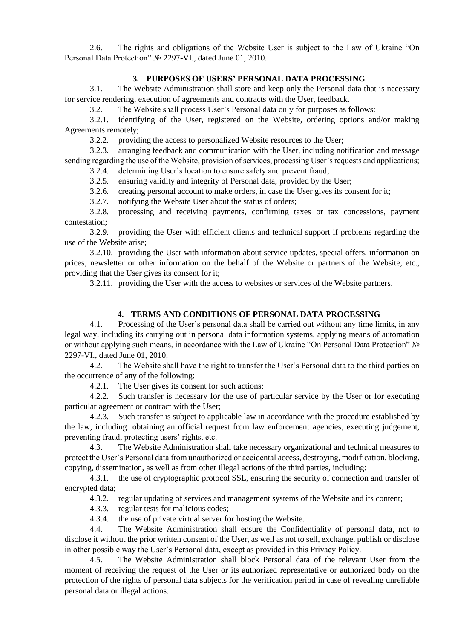2.6. The rights and obligations of the Website User is subject to the Law of Ukraine "On Personal Data Protection" № 2297-VI., dated June 01, 2010.

# **3. PURPOSES OF USERS' PERSONAL DATA PROCESSING**

3.1. The Website Administration shall store and keep only the Personal data that is necessary for service rendering, execution of agreements and contracts with the User, feedback.

3.2. The Website shall process User's Personal data only for purposes as follows:

3.2.1. identifying of the User, registered on the Website, ordering options and/or making Agreements remotely;

3.2.2. providing the access to personalized Website resources to the User;

3.2.3. arranging feedback and communication with the User, including notification and message sending regarding the use of the Website, provision of services, processing User's requests and applications;

3.2.4. determining User's location to ensure safety and prevent fraud;

3.2.5. ensuring validity and integrity of Personal data, provided by the User;

3.2.6. creating personal account to make orders, in case the User gives its consent for it;

3.2.7. notifying the Website User about the status of orders;

3.2.8. processing and receiving payments, confirming taxes or tax concessions, payment contestation;

3.2.9. providing the User with efficient clients and technical support if problems regarding the use of the Website arise;

3.2.10. providing the User with information about service updates, special offers, information on prices, newsletter or other information on the behalf of the Website or partners of the Website, etc., providing that the User gives its consent for it;

3.2.11. providing the User with the access to websites or services of the Website partners.

# **4. TERMS AND CONDITIONS OF PERSONAL DATA PROCESSING**

4.1. Processing of the User's personal data shall be carried out without any time limits, in any legal way, including its carrying out in personal data information systems, applying means of automation or without applying such means, in accordance with the Law of Ukraine "On Personal Data Protection" № 2297-VI., dated June 01, 2010.

4.2. The Website shall have the right to transfer the User's Personal data to the third parties on the occurrence of any of the following:

4.2.1. The User gives its consent for such actions;

4.2.2. Such transfer is necessary for the use of particular service by the User or for executing particular agreement or contract with the User;

4.2.3. Such transfer is subject to applicable law in accordance with the procedure established by the law, including: obtaining an official request from law enforcement agencies, executing judgement, preventing fraud, protecting users' rights, etc.

4.3. The Website Administration shall take necessary organizational and technical measures to protect the User's Personal data from unauthorized or accidental access, destroying, modification, blocking, copying, dissemination, as well as from other illegal actions of the third parties, including:

4.3.1. the use of cryptographic protocol SSL, ensuring the security of connection and transfer of encrypted data;

4.3.2. regular updating of services and management systems of the Website and its content;

4.3.3. regular tests for malicious codes;

4.3.4. the use of private virtual server for hosting the Website.

4.4. The Website Administration shall ensure the Confidentiality of personal data, not to disclose it without the prior written consent of the User, as well as not to sell, exchange, publish or disclose in other possible way the User's Personal data, except as provided in this Privacy Policy.

4.5. The Website Administration shall block Personal data of the relevant User from the moment of receiving the request of the User or its authorized representative or authorized body on the protection of the rights of personal data subjects for the verification period in case of revealing unreliable personal data or illegal actions.